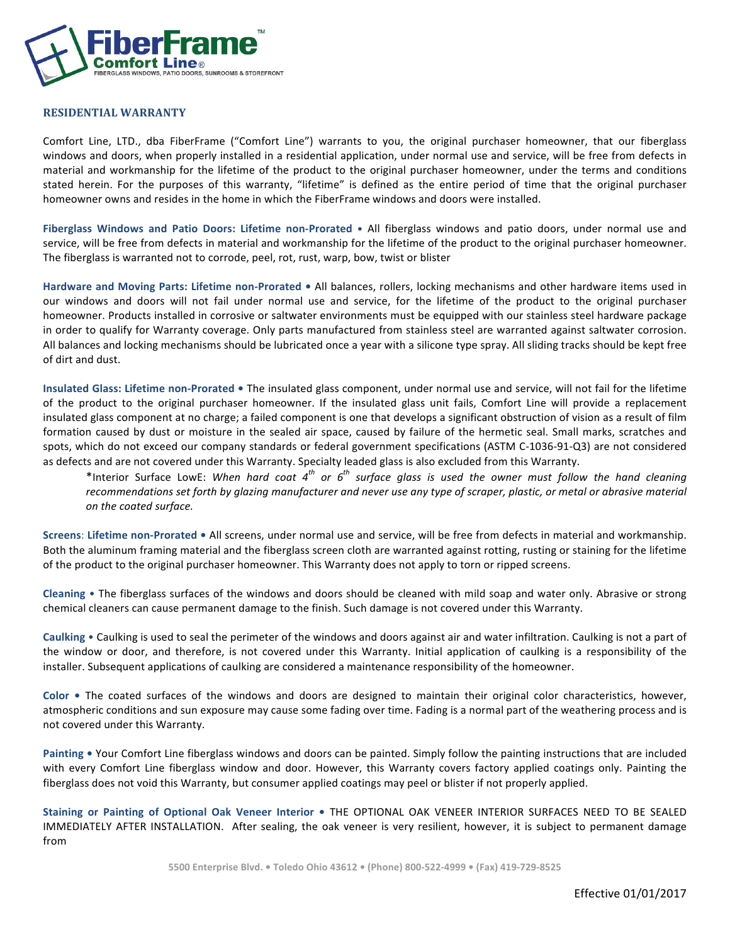

## **RESIDENTIAL WARRANTY**

Comfort Line, LTD., dba FiberFrame ("Comfort Line") warrants to you, the original purchaser homeowner, that our fiberglass windows and doors, when properly installed in a residential application, under normal use and service, will be free from defects in material and workmanship for the lifetime of the product to the original purchaser homeowner, under the terms and conditions stated herein. For the purposes of this warranty, "lifetime" is defined as the entire period of time that the original purchaser homeowner owns and resides in the home in which the FiberFrame windows and doors were installed.

Fiberglass Windows and Patio Doors: Lifetime non-Prorated • All fiberglass windows and patio doors, under normal use and service, will be free from defects in material and workmanship for the lifetime of the product to the original purchaser homeowner. The fiberglass is warranted not to corrode, peel, rot, rust, warp, bow, twist or blister

Hardware and Moving Parts: Lifetime non-Prorated . All balances, rollers, locking mechanisms and other hardware items used in our windows and doors will not fail under normal use and service, for the lifetime of the product to the original purchaser homeowner. Products installed in corrosive or saltwater environments must be equipped with our stainless steel hardware package in order to qualify for Warranty coverage. Only parts manufactured from stainless steel are warranted against saltwater corrosion. All balances and locking mechanisms should be lubricated once a year with a silicone type spray. All sliding tracks should be kept free of dirt and dust.

**Insulated Glass: Lifetime non-Prorated •** The insulated glass component, under normal use and service, will not fail for the lifetime of the product to the original purchaser homeowner. If the insulated glass unit fails, Comfort Line will provide a replacement insulated glass component at no charge; a failed component is one that develops a significant obstruction of vision as a result of film formation caused by dust or moisture in the sealed air space, caused by failure of the hermetic seal. Small marks, scratches and spots, which do not exceed our company standards or federal government specifications (ASTM C-1036-91-Q3) are not considered as defects and are not covered under this Warranty. Specialty leaded glass is also excluded from this Warranty.

\*Interior Surface LowE: When hard coat 4<sup>th</sup> or 6<sup>th</sup> surface glass is used the owner must follow the hand cleaning recommendations set forth by glazing manufacturer and never use any type of scraper, plastic, or metal or abrasive material *on the coated surface.*

**Screens: Lifetime non-Prorated •** All screens, under normal use and service, will be free from defects in material and workmanship. Both the aluminum framing material and the fiberglass screen cloth are warranted against rotting, rusting or staining for the lifetime of the product to the original purchaser homeowner. This Warranty does not apply to torn or ripped screens.

**Cleaning** • The fiberglass surfaces of the windows and doors should be cleaned with mild soap and water only. Abrasive or strong chemical cleaners can cause permanent damage to the finish. Such damage is not covered under this Warranty.

**Caulking** • Caulking is used to seal the perimeter of the windows and doors against air and water infiltration. Caulking is not a part of the window or door, and therefore, is not covered under this Warranty. Initial application of caulking is a responsibility of the installer. Subsequent applications of caulking are considered a maintenance responsibility of the homeowner.

Color • The coated surfaces of the windows and doors are designed to maintain their original color characteristics, however, atmospheric conditions and sun exposure may cause some fading over time. Fading is a normal part of the weathering process and is not covered under this Warranty.

Painting • Your Comfort Line fiberglass windows and doors can be painted. Simply follow the painting instructions that are included with every Comfort Line fiberglass window and door. However, this Warranty covers factory applied coatings only. Painting the fiberglass does not void this Warranty, but consumer applied coatings may peel or blister if not properly applied.

Staining or Painting of Optional Oak Veneer Interior . THE OPTIONAL OAK VENEER INTERIOR SURFACES NEED TO BE SEALED IMMEDIATELY AFTER INSTALLATION. After sealing, the oak veneer is very resilient, however, it is subject to permanent damage from